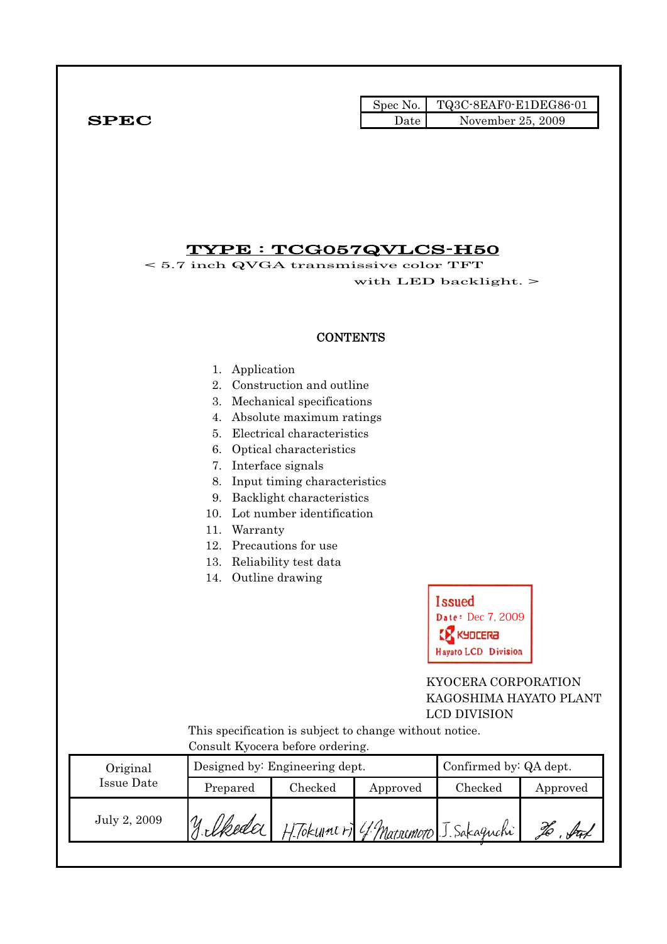|              |      | Spec No. TQ3C-8EAF0-E1DEG86-01 |
|--------------|------|--------------------------------|
| ${\bf SPEC}$ | Date | November 25, 2009              |

## TYPE : TCG057QVLCS-H50

< 5.7 inch QVGA transmissive color TFT with LED backlight. >

#### **CONTENTS**

- 1. Application
- 2. Construction and outline
- 3. Mechanical specifications
- 4. Absolute maximum ratings
- 5. Electrical characteristics
- 6. Optical characteristics
- 7. Interface signals
- 8. Input timing characteristics
- 9. Backlight characteristics
- 10. Lot number identification
- 11. Warranty
- 12. Precautions for use
- 13. Reliability test data
- 14. Outline drawing



### KYOCERA CORPORATION KAGOSHIMA HAYATO PLANT LCD DIVISION

 This specification is subject to change without notice. Consult Kyocera before ordering.

| Original     |          | Designed by: Engineering dept. | Confirmed by: QA dept.                |         |          |
|--------------|----------|--------------------------------|---------------------------------------|---------|----------|
| Issue Date   | Prepared | $\rm Checked$                  | Approved                              | Checked | Approved |
| July 2, 2009 | y lkeder |                                | H. Tokum (F) 4 Matrimoto J. Sakaguchi |         |          |
|              |          |                                |                                       |         |          |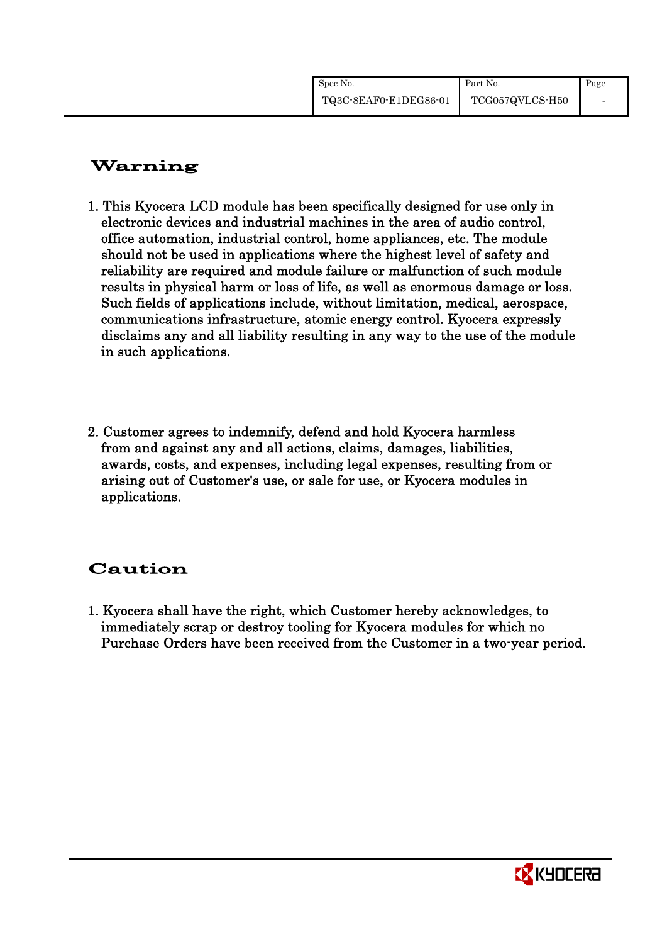| Spec No.              | Part No.        | Page |
|-----------------------|-----------------|------|
| TQ3C-8EAF0-E1DEG86-01 | TCG057QVLCS-H50 |      |

# Warning

- 1. This Kyocera LCD module has been specifically designed for use only in electronic devices and industrial machines in the area of audio control, office automation, industrial control, home appliances, etc. The module should not be used in applications where the highest level of safety and reliability are required and module failure or malfunction of such module results in physical harm or loss of life, as well as enormous damage or loss. Such fields of applications include, without limitation, medical, aerospace, communications infrastructure, atomic energy control. Kyocera expressly disclaims any and all liability resulting in any way to the use of the module in such applications.
- 2. Customer agrees to indemnify, defend and hold Kyocera harmless from and against any and all actions, claims, damages, liabilities, awards, costs, and expenses, including legal expenses, resulting from or arising out of Customer's use, or sale for use, or Kyocera modules in applications.

# Caution

1. Kyocera shall have the right, which Customer hereby acknowledges, to immediately scrap or destroy tooling for Kyocera modules for which no Purchase Orders have been received from the Customer in a two-year period.

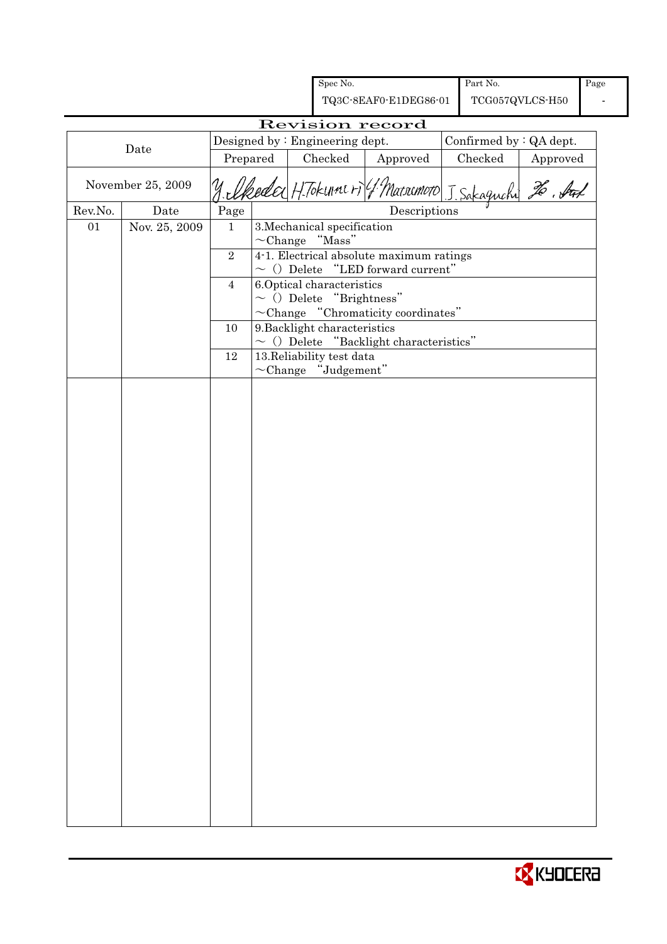|         |                   |                |                                                          | Spec No.                        |                                                                                    |  | Part No.        |                         | Page |
|---------|-------------------|----------------|----------------------------------------------------------|---------------------------------|------------------------------------------------------------------------------------|--|-----------------|-------------------------|------|
|         |                   |                |                                                          |                                 | TQ3C-8EAF0-E1DEG86-01                                                              |  | TCG057QVLCS-H50 |                         |      |
|         |                   |                |                                                          |                                 | Revision record                                                                    |  |                 |                         |      |
|         | Date              |                |                                                          | Designed by : Engineering dept. |                                                                                    |  |                 | Confirmed by : QA dept. |      |
|         |                   | Prepared       |                                                          | Checked                         | Approved                                                                           |  | Checked         | Approved                |      |
|         | November 25, 2009 |                | y elkeder H. Tokunners (1 Marsumoto J. Sakaguchi 26. Auf |                                 |                                                                                    |  |                 |                         |      |
| Rev.No. | Date              | Page           |                                                          |                                 | Descriptions                                                                       |  |                 |                         |      |
| 01      | Nov. 25, 2009     | $\mathbf{1}$   |                                                          | 3. Mechanical specification     |                                                                                    |  |                 |                         |      |
|         |                   |                |                                                          | $\sim$ Change "Mass"            |                                                                                    |  |                 |                         |      |
|         |                   | $\overline{2}$ |                                                          |                                 | 4-1. Electrical absolute maximum ratings<br>$\sim$ () Delete "LED forward current" |  |                 |                         |      |
|         |                   | $\overline{4}$ |                                                          | 6.Optical characteristics       |                                                                                    |  |                 |                         |      |
|         |                   |                |                                                          | $\sim$ () Delete "Brightness"   |                                                                                    |  |                 |                         |      |
|         |                   |                |                                                          |                                 | $\sim$ Change "Chromaticity coordinates"                                           |  |                 |                         |      |
|         |                   | 10             |                                                          | 9. Backlight characteristics    |                                                                                    |  |                 |                         |      |
|         |                   | 12             |                                                          | 13. Reliability test data       | $\sim$ () Delete "Backlight characteristics"                                       |  |                 |                         |      |
|         |                   |                |                                                          | $\sim$ Change "Judgement"       |                                                                                    |  |                 |                         |      |
|         |                   |                |                                                          |                                 |                                                                                    |  |                 |                         |      |
|         |                   |                |                                                          |                                 |                                                                                    |  |                 |                         |      |
|         |                   |                |                                                          |                                 |                                                                                    |  |                 |                         |      |
|         |                   |                |                                                          |                                 |                                                                                    |  |                 |                         |      |
|         |                   |                |                                                          |                                 |                                                                                    |  |                 |                         |      |
|         |                   |                |                                                          |                                 |                                                                                    |  |                 |                         |      |
|         |                   |                |                                                          |                                 |                                                                                    |  |                 |                         |      |
|         |                   |                |                                                          |                                 |                                                                                    |  |                 |                         |      |
|         |                   |                |                                                          |                                 |                                                                                    |  |                 |                         |      |
|         |                   |                |                                                          |                                 |                                                                                    |  |                 |                         |      |
|         |                   |                |                                                          |                                 |                                                                                    |  |                 |                         |      |
|         |                   |                |                                                          |                                 |                                                                                    |  |                 |                         |      |
|         |                   |                |                                                          |                                 |                                                                                    |  |                 |                         |      |
|         |                   |                |                                                          |                                 |                                                                                    |  |                 |                         |      |
|         |                   |                |                                                          |                                 |                                                                                    |  |                 |                         |      |
|         |                   |                |                                                          |                                 |                                                                                    |  |                 |                         |      |
|         |                   |                |                                                          |                                 |                                                                                    |  |                 |                         |      |
|         |                   |                |                                                          |                                 |                                                                                    |  |                 |                         |      |
|         |                   |                |                                                          |                                 |                                                                                    |  |                 |                         |      |
|         |                   |                |                                                          |                                 |                                                                                    |  |                 |                         |      |
|         |                   |                |                                                          |                                 |                                                                                    |  |                 |                         |      |
|         |                   |                |                                                          |                                 |                                                                                    |  |                 |                         |      |
|         |                   |                |                                                          |                                 |                                                                                    |  |                 |                         |      |
|         |                   |                |                                                          |                                 |                                                                                    |  |                 |                         |      |
|         |                   |                |                                                          |                                 |                                                                                    |  |                 |                         |      |
|         |                   |                |                                                          |                                 |                                                                                    |  |                 |                         |      |
|         |                   |                |                                                          |                                 |                                                                                    |  |                 |                         |      |

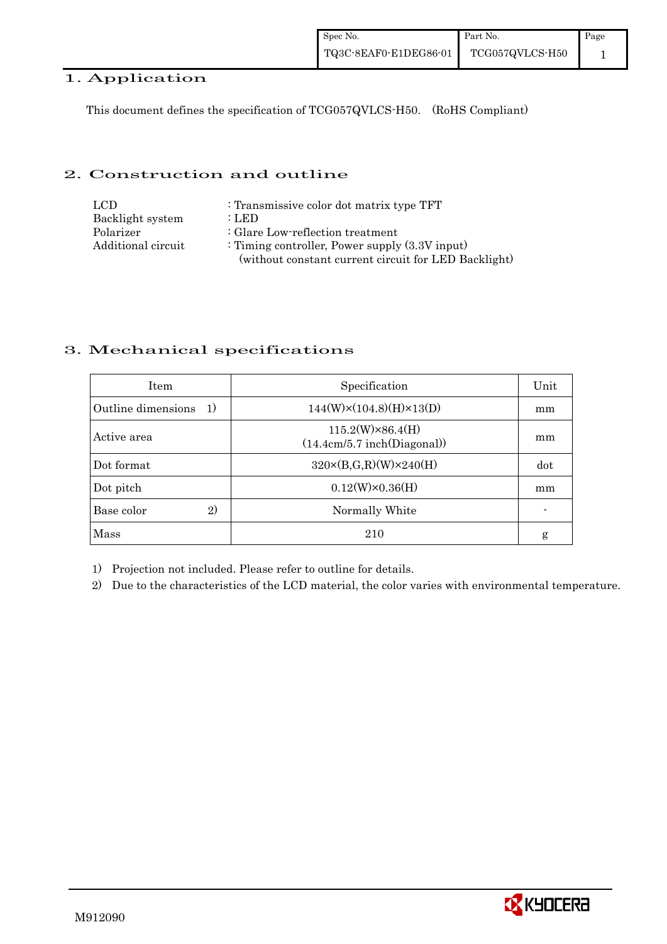#### 1. Application

This document defines the specification of TCG057QVLCS-H50. (RoHS Compliant)

#### 2. Construction and outline

| LCD.               | : Transmissive color dot matrix type TFT             |
|--------------------|------------------------------------------------------|
| Backlight system   | : LED                                                |
| Polarizer          | : Glare Low-reflection treatment                     |
| Additional circuit | : Timing controller, Power supply $(3.3V)$ input)    |
|                    | (without constant current circuit for LED Backlight) |

### 3. Mechanical specifications

| <b>Item</b>                        | Specification                                          | Unit |
|------------------------------------|--------------------------------------------------------|------|
| Outline dimensions<br><sup>1</sup> | $144(W)\times(104.8)(H)\times13(D)$                    | mm   |
| Active area                        | $115.2(W)\times86.4(H)$<br>(14.4cm/5.7 inch(Diagonal)) | mm   |
| Dot format                         | $320 \times (B,G,R)(W) \times 240(H)$                  | dot  |
| Dot pitch                          | $0.12(W)\times0.36(H)$                                 | mm   |
| 2)<br>Base color                   | Normally White                                         |      |
| Mass                               | 210                                                    | g    |

1) Projection not included. Please refer to outline for details.

2) Due to the characteristics of the LCD material, the color varies with environmental temperature.

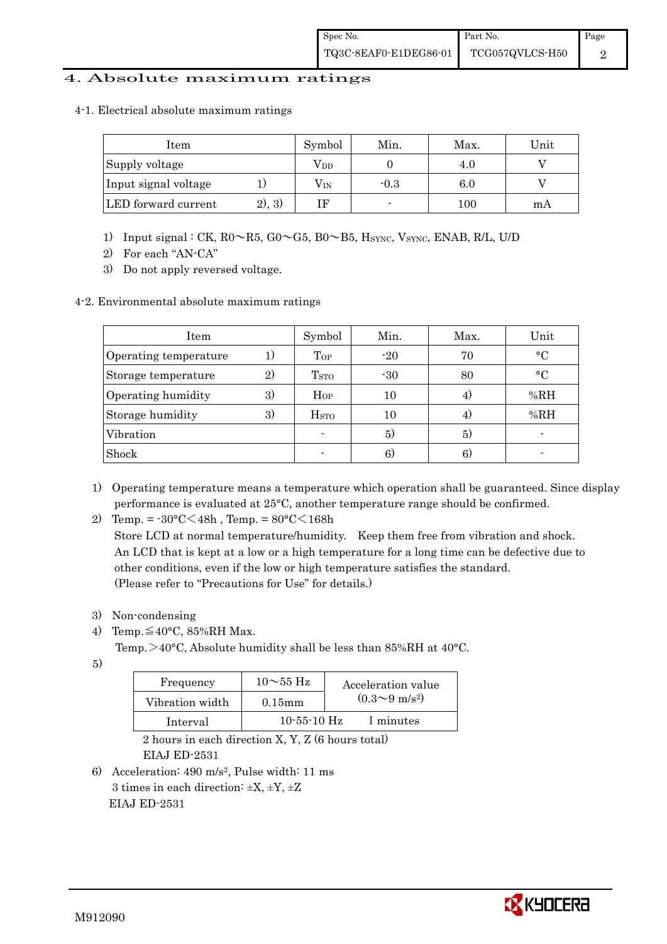#### 4. Absolute maximum ratings

4-1. Electrical absolute maximum ratings

| ltem                 |        | Symbol       | Min.   | Max. | Unit |
|----------------------|--------|--------------|--------|------|------|
| Supply voltage       |        | $\rm V_{DD}$ |        | 4.0  |      |
| Input signal voltage |        | $\rm V_{IN}$ | $-0.3$ | 6.0  |      |
| LED forward current  | 2), 3) |              |        | 100  | mА   |

- 1) Input signal : CK, R0~R5, G0~G5, B0~B5, HSYNC, VSYNC, ENAB, R/L, U/D
- 2) For each "AN-CA"
- 3) Do not apply reversed voltage.
- 4-2. Environmental absolute maximum ratings

| Item                  |              | Symbol                  | Min.  | Max. | Unit      |
|-----------------------|--------------|-------------------------|-------|------|-----------|
| Operating temperature | 1)           | Top                     | $-20$ | 70   | $\circ$ C |
| Storage temperature   | $\mathbf{2}$ | <b>T</b> <sub>STO</sub> | $-30$ | 80   | $\circ$ C |
| Operating humidity    | 3)           | $H_{OP}$                | 10    |      | %RH       |
| Storage humidity      | 3)           | H <sub>STO</sub>        | 10    |      | %RH       |
| Vibration             |              |                         | 5)    | 5)   |           |
| Shock                 |              |                         | 6)    | 6)   |           |

1) Operating temperature means a temperature which operation shall be guaranteed. Since display performance is evaluated at 25°C, another temperature range should be confirmed.

2) Temp. =  $-30^{\circ}$ C $<$ 48h, Temp. =  $80^{\circ}$ C $<$ 168h

 Store LCD at normal temperature/humidity. Keep them free from vibration and shock. An LCD that is kept at a low or a high temperature for a long time can be defective due to other conditions, even if the low or high temperature satisfies the standard. (Please refer to "Precautions for Use" for details.)

- 3) Non-condensing
- 4) Temp. $\leq 40^{\circ}$ C, 85%RH Max.
	- Temp. $>40^{\circ}$ C, Absolute humidity shall be less than 85%RH at 40°C.
- 5)

| Frequency       | $10\sim$ 55 Hz    | Acceleration value           |
|-----------------|-------------------|------------------------------|
| Vibration width | $0.15$ mm         | $(0.3 \sim 9 \text{ m/s}^2)$ |
| Interval        | $10 - 55 - 10$ Hz | 1 minutes                    |

 2 hours in each direction X, Y, Z (6 hours total) EIAJ ED-2531

6) Acceleration: 490 m/s2, Pulse width: 11 ms 3 times in each direction:  $\pm X$ ,  $\pm Y$ ,  $\pm Z$ EIAJ ED-2531

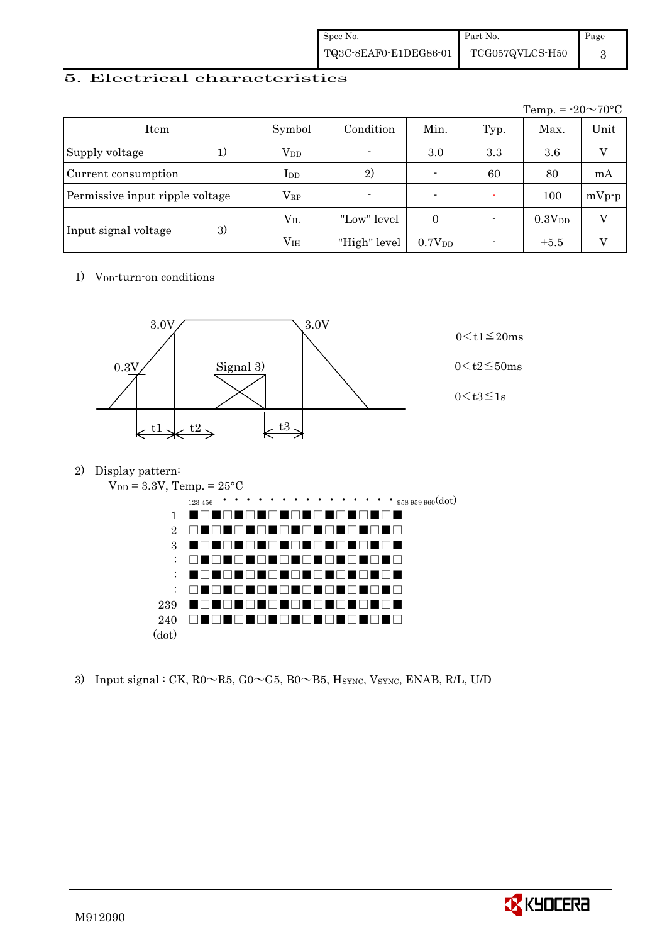| Spec No.              | Part No.                     | Page |
|-----------------------|------------------------------|------|
| TQ3C-8EAF0-E1DEG86-01 | $\rm TCG057QVLCS\text{-}H50$ |      |

#### 5. Electrical characteristics

|                                 |               |                |                          |      | Temp. = $-20 \sim 70$ °C |         |
|---------------------------------|---------------|----------------|--------------------------|------|--------------------------|---------|
| Item                            | Symbol        | Condition      | Min.                     | Typ. | Max.                     | Unit    |
| Supply voltage<br>1)            | $\rm V_{DD}$  | $\blacksquare$ | 3.0                      | 3.3  | 3.6                      | V       |
| Current consumption             | $_{\rm{LDD}}$ | 2)             | $\overline{\phantom{0}}$ | 60   | 80                       | mA      |
| Permissive input ripple voltage | $\rm V_{RP}$  | $\blacksquare$ | $\blacksquare$           |      | 100                      | $mVp-p$ |
|                                 | $V_{IL}$      | "Low" level    | $\Omega$                 |      | 0.3V <sub>DD</sub>       | V       |
| 3)<br>Input signal voltage      | $\rm V_{IH}$  | "High" level   | 0.7V <sub>DD</sub>       |      | $+5.5$                   |         |

1) V<sub>DD</sub>-turn-on conditions



2) Display pattern:



3) Input signal : CK,  $R0 \sim R5$ ,  $G0 \sim G5$ ,  $B0 \sim B5$ ,  $H<sub>SYNC</sub>$ ,  $V<sub>SYNC</sub>$ ,  $ENAB$ ,  $R/L$ ,  $U/D$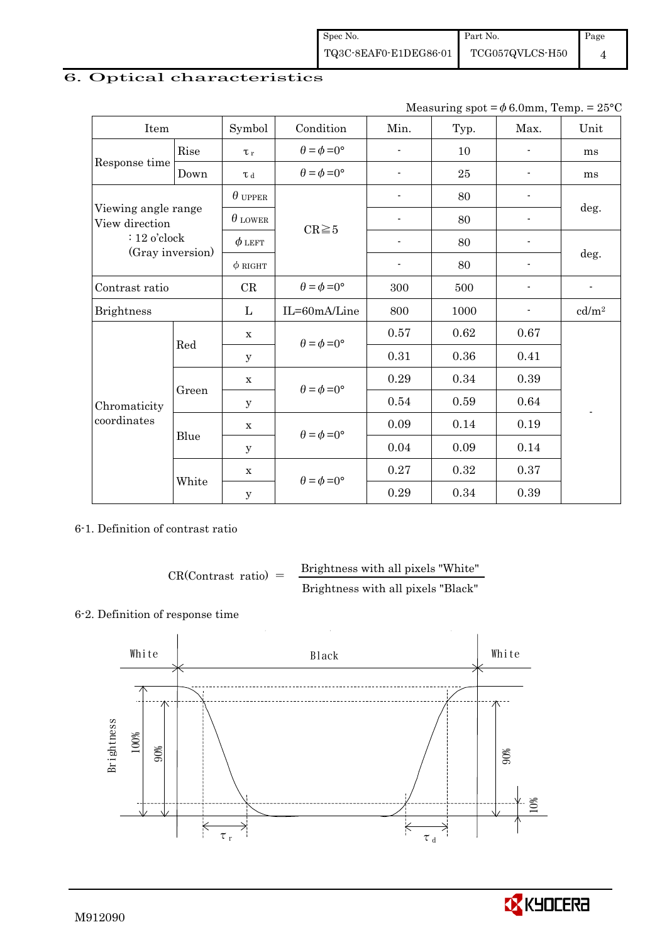### 6. Optical characteristics

Measuring spot =  $\phi$  6.0mm, Temp. = 25°C

| Item                                  |       | Symbol         | Condition                   | Min.                     | Typ. | Max.                     | Unit                     |
|---------------------------------------|-------|----------------|-----------------------------|--------------------------|------|--------------------------|--------------------------|
| Rise                                  |       | $\tau_r$       | $\theta = \phi = 0^{\circ}$ | $\overline{\phantom{0}}$ | 10   |                          | ms                       |
| Response time                         | Down  | $\tau$ d       | $\theta = \phi = 0^{\circ}$ | $\blacksquare$           | 25   |                          | ms                       |
|                                       |       | $\theta$ upper |                             |                          | 80   |                          |                          |
| Viewing angle range<br>View direction |       | $\theta$ LOWER | $CR \ge 5$                  | ÷,                       | 80   |                          | deg.                     |
| $: 12$ o'clock                        |       | $\phi$ left    |                             |                          | 80   |                          |                          |
| (Gray inversion)                      |       | $\phi$ RIGHT   |                             | $\overline{\phantom{a}}$ | 80   | $\overline{\phantom{0}}$ | deg.                     |
| Contrast ratio                        |       | CR             | $\theta = \phi = 0^{\circ}$ | 300                      | 500  |                          | $\overline{\phantom{a}}$ |
| <b>Brightness</b>                     |       | L              | IL=60mA/Line                | 800                      | 1000 |                          | cd/m <sup>2</sup>        |
|                                       | Red   | $\mathbf X$    | $\theta = \phi = 0^{\circ}$ | 0.57                     | 0.62 | 0.67                     |                          |
|                                       |       | У              |                             | 0.31                     | 0.36 | 0.41                     |                          |
|                                       |       | $\mathbf X$    |                             | 0.29                     | 0.34 | 0.39                     |                          |
| Chromaticity                          | Green | $\mathbf y$    | $\theta = \phi = 0^{\circ}$ | 0.54                     | 0.59 | 0.64                     | $\overline{a}$           |
| coordinates                           |       | $\mathbf X$    | $\theta = \phi = 0^{\circ}$ | 0.09                     | 0.14 | 0.19                     |                          |
|                                       | Blue  | У              |                             | 0.04                     | 0.09 | 0.14                     |                          |
|                                       | White | $\mathbf X$    | $\theta = \phi = 0^{\circ}$ | 0.27                     | 0.32 | 0.37                     |                          |
|                                       |       | $\mathbf y$    |                             | 0.29                     | 0.34 | 0.39                     |                          |

6-1. Definition of contrast ratio

$$
CR(Contrast ratio) = \frac{Brightness with all pixels "White"}
$$
  
Brightness with all pixels "Black"

#### 6-2. Definition of response time



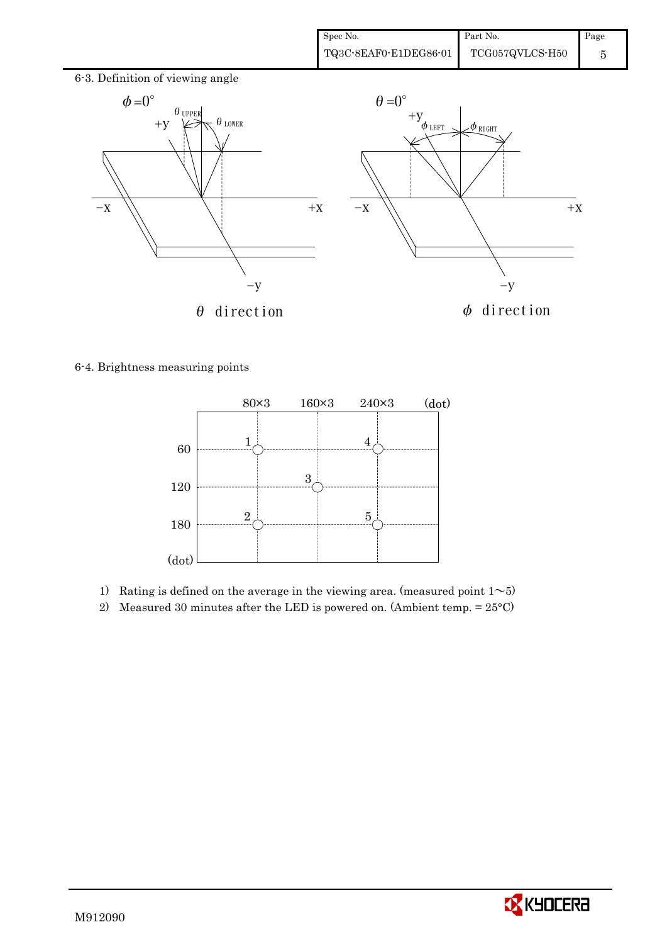

6-4. Brightness measuring points



- 1) Rating is defined on the average in the viewing area. (measured point  $1\sim 5$ )
- 2) Measured 30 minutes after the LED is powered on. (Ambient temp.  $= 25^{\circ}$ C)

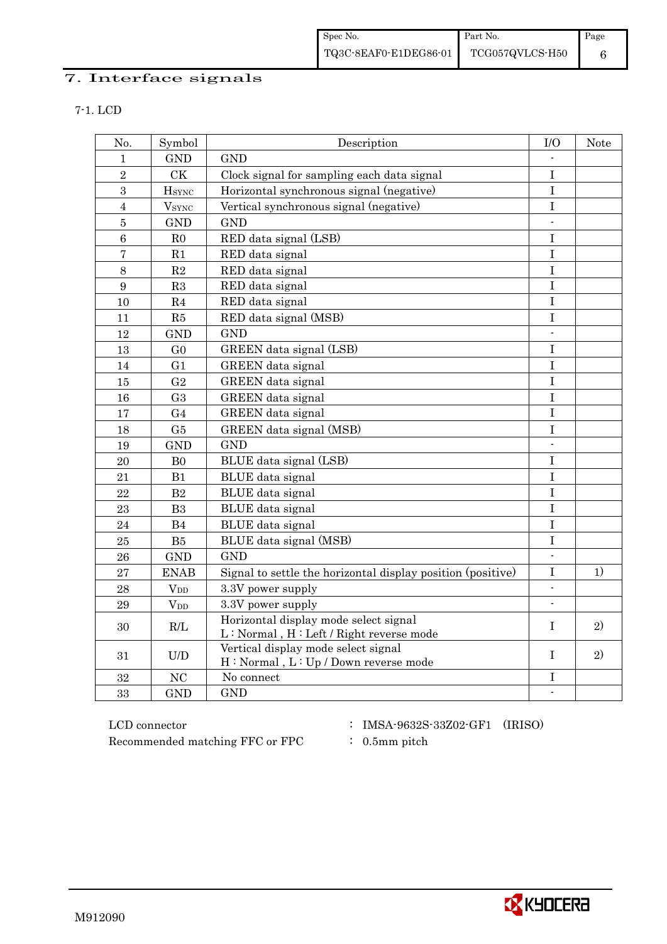# 7. Interface signals

| No.              | Symbol               | Description                                                                      | I/O                      | Note         |
|------------------|----------------------|----------------------------------------------------------------------------------|--------------------------|--------------|
| $\mathbf{1}$     | <b>GND</b>           | <b>GND</b>                                                                       |                          |              |
| $\overline{2}$   | <b>CK</b>            | Clock signal for sampling each data signal                                       | $\bf I$                  |              |
| 3                | <b>H</b> sync        | Horizontal synchronous signal (negative)                                         | $\bf I$                  |              |
| $\overline{4}$   | $\rm{V}_{\rm{SYNC}}$ | Vertical synchronous signal (negative)                                           | I                        |              |
| $\overline{5}$   | <b>GND</b>           | <b>GND</b>                                                                       |                          |              |
| $\overline{6}$   | R <sub>0</sub>       | RED data signal (LSB)                                                            | I                        |              |
| $\overline{7}$   | R1                   | RED data signal                                                                  | $\bf I$                  |              |
| $\,8\,$          | R <sub>2</sub>       | RED data signal                                                                  | I                        |              |
| $\boldsymbol{9}$ | R3                   | RED data signal                                                                  | I                        |              |
| 10               | R <sub>4</sub>       | RED data signal                                                                  | $\bf I$                  |              |
| 11               | R5                   | RED data signal (MSB)                                                            | $\mathbf I$              |              |
| 12               | <b>GND</b>           | <b>GND</b>                                                                       | $\blacksquare$           |              |
| 13               | G <sub>0</sub>       | GREEN data signal (LSB)                                                          | $\mathbf I$              |              |
| 14               | G <sub>1</sub>       | GREEN data signal                                                                | I                        |              |
| 15               | G <sub>2</sub>       | GREEN data signal                                                                | I                        |              |
| 16               | G <sub>3</sub>       | GREEN data signal                                                                | $\overline{I}$           |              |
| 17               | G <sub>4</sub>       | GREEN data signal                                                                | $\mathbf I$              |              |
| 18               | G5                   | GREEN data signal (MSB)                                                          | $\rm I$                  |              |
| 19               | <b>GND</b>           | <b>GND</b>                                                                       |                          |              |
| 20               | B <sub>0</sub>       | BLUE data signal (LSB)                                                           | $\bf I$                  |              |
| 21               | B1                   | BLUE data signal                                                                 | I                        |              |
| 22               | B2                   | BLUE data signal                                                                 | $\bf I$                  |              |
| 23               | B <sub>3</sub>       | BLUE data signal                                                                 | $\mathbf I$              |              |
| 24               | B4                   | <b>BLUE</b> data signal                                                          | $\mathbf I$              |              |
| 25               | B5                   | BLUE data signal (MSB)                                                           | $\bf I$                  |              |
| 26               | <b>GND</b>           | <b>GND</b>                                                                       | $\mathbf{r}$             |              |
| 27               | <b>ENAB</b>          | Signal to settle the horizontal display position (positive)                      | I                        | 1)           |
| 28               | $V_{DD}$             | 3.3V power supply                                                                | $\mathbf{r}$             |              |
| 29               | $V_{DD}$             | 3.3V power supply                                                                | $\blacksquare$           |              |
| 30               | R/L                  | Horizontal display mode select signal<br>L: Normal, H: Left / Right reverse mode | T                        | $\mathbf{2}$ |
| 31               | U/D                  | Vertical display mode select signal<br>H: Normal, L: Up / Down reverse mode      | T                        | 2)           |
| 32               | NC                   | No connect                                                                       | I                        |              |
| 33               | <b>GND</b>           | <b>GND</b>                                                                       | $\overline{\phantom{a}}$ |              |

 ${\rm LCD~connector} ~~:~{\rm IMSA\text{-}9632S\text{-}33Z02\text{-}GF1}~~({\rm IRISO})$ Recommended matching FFC or FPC : 0.5mm pitch

- 
- 

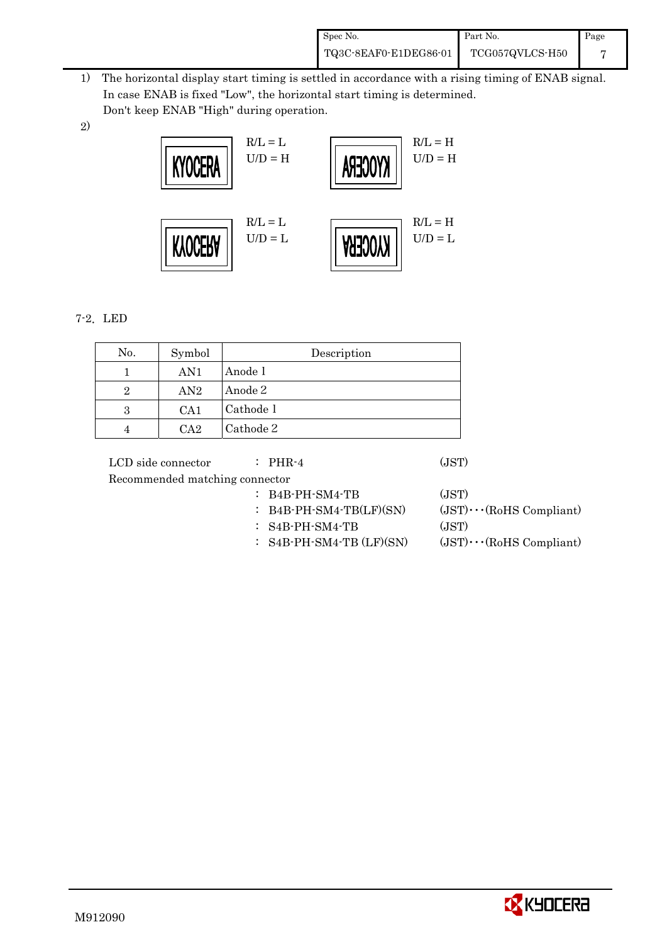| Spec No.              | Part No.        | Page |
|-----------------------|-----------------|------|
| TQ3C-8EAF0-E1DEG86-01 | TCG057QVLCS-H50 |      |

- 1) The horizontal display start timing is settled in accordance with a rising timing of ENAB signal. In case ENAB is fixed "Low", the horizontal start timing is determined. Don't keep ENAB "High" during operation.
- 2)



### 7-2.LED

| No.            | Symbol | Description |
|----------------|--------|-------------|
|                | AN1    | Anode 1     |
| $\overline{2}$ | AN2    | Anode 2     |
| 3              | CA1    | Cathode 1   |
|                | $C_A2$ | Cathode 2   |

LCD side connector : PHR-4 (JST) Recommended matching connector : B4B-PH-SM4-TB (JST) : B4B-PH-SM4-TB(LF)(SN)  $(JST)\cdots (R \text{oHS} \text{ Compliant})$ : S4B-PH-SM4-TB (JST)

:  $S4B-PH-SM4-TB (LF)(SN)$  (JST) $\cdots$ (RoHS Compliant)

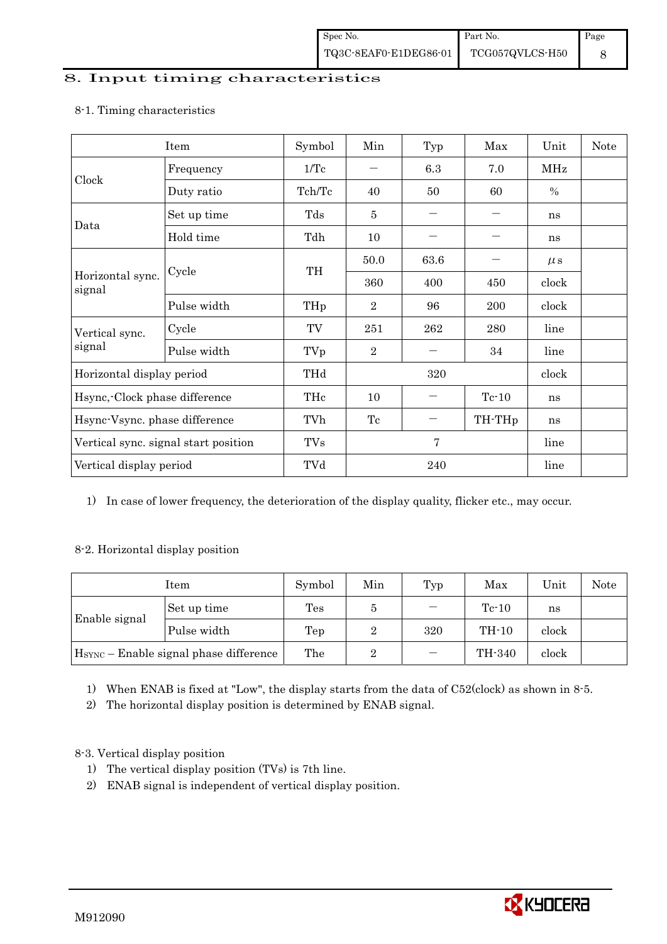### 8. Input timing characteristics

# Item Symbol Min Typ Max Unit Note Frequency  $1/Tc$   $6.3$   $7.0$  MHz Clock Duty ratio  $\begin{array}{|c|c|c|c|c|c|c|c|c|} \hline \end{array}$  Tch/Tc  $\begin{array}{|c|c|c|c|c|c|c|} \hline \end{array}$  60  $\begin{array}{|c|c|c|c|c|c|} \hline \end{array}$  % Set up time Tds 5 - - ns Data Hold time Tdh 10 - - ns  $50.0$  63.6 -  $\mu s$ Cycle TH Horizontal sync. Cycle TH 360 400 450 clock signal Pulse width  $THp \mid 2 \mid 96 \mid 200 \mid clock$ Cycle TV 251 262 280 line Vertical sync. signal Pulse width TVp 2 - 34 line Horizontal display period THd 320 clock Hsync,-Clock phase difference  $\vert$  THc  $\vert$  10  $\vert$  - Tc-10  $\vert$  ns Hsync-Vsync. phase difference  $\vert$  TVh  $\vert$  Tc  $\vert$  - TH-THp  $\vert$  ns Vertical sync. signal start position  $\begin{array}{|c|c|c|c|c|c|c|c|c|} \hline \end{array}$  TVs 7 line Vertical display period  $\overline{Y}$  TVd  $\overline{Z}$  240 line

#### 8-1. Timing characteristics

1) In case of lower frequency, the deterioration of the display quality, flicker etc., may occur.

#### 8-2. Horizontal display position

| Item                                               |             | Symbol | Min | Typ | Max     | Unit  | Note |
|----------------------------------------------------|-------------|--------|-----|-----|---------|-------|------|
|                                                    | Set up time | Tes    |     |     | $Te-10$ | ns    |      |
| Enable signal                                      | Pulse width | Tep    |     | 320 | $TH-10$ | clock |      |
| H <sub>SYNC</sub> - Enable signal phase difference |             | The    | 2   |     | TH-340  | clock |      |

1) When ENAB is fixed at "Low", the display starts from the data of C52(clock) as shown in 8-5.

2) The horizontal display position is determined by ENAB signal.

### 8-3. Vertical display position

- 1) The vertical display position (TVs) is 7th line.
- 2) ENAB signal is independent of vertical display position.

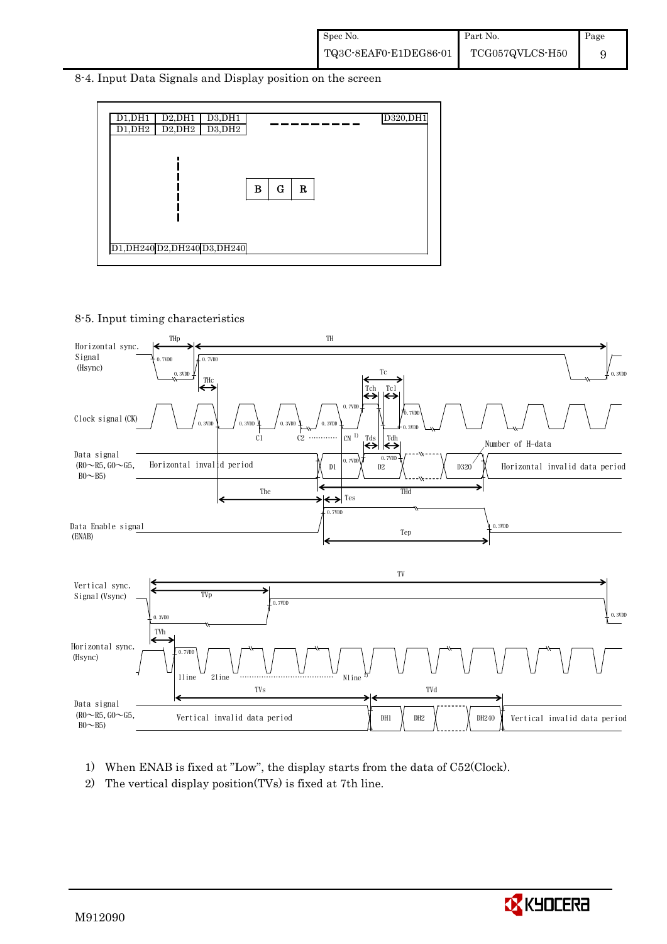8-4. Input Data Signals and Display position on the screen



8-5. Input timing characteristics



- 1) When ENAB is fixed at "Low", the display starts from the data of C52(Clock).
- 2) The vertical display position(TVs) is fixed at 7th line.

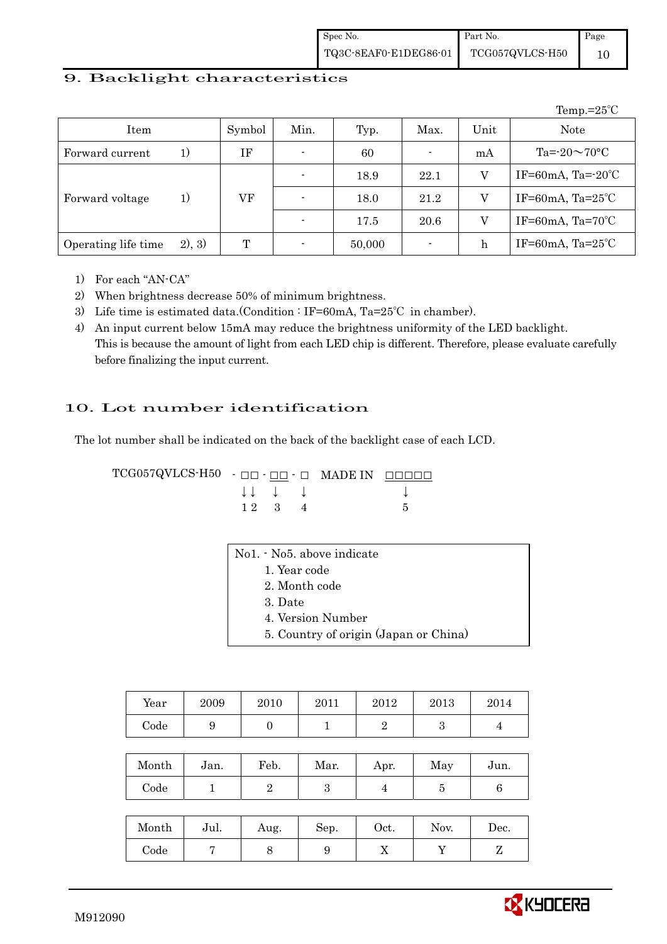#### 9. Backlight characteristics

|                     |         |        |      |        |                |      | Temp.= $25^{\circ}$ C        |
|---------------------|---------|--------|------|--------|----------------|------|------------------------------|
| Item                |         | Symbol | Min. | Typ.   | Max.           | Unit | Note                         |
| Forward current     | 1)      | IF     |      | 60     | $\blacksquare$ | mA   | Ta= $-20\sim70$ °C           |
|                     |         |        |      | 18.9   | 22.1           | v    | IF=60mA, Ta= $-20^{\circ}$ C |
| Forward voltage     | 1)      | VF     |      | 18.0   | 21.2           | V    | IF=60mA, $Ta=25^{\circ}C$    |
|                     |         |        |      | 17.5   | 20.6           | V    | IF=60mA, $Ta=70^{\circ}C$    |
| Operating life time | (2), 3) | Т      |      | 50,000 |                | h    | IF=60mA, $Ta=25^{\circ}C$    |

1) For each "AN-CA"

2) When brightness decrease 50% of minimum brightness.

- 3) Life time is estimated data.(Condition : IF=60mA, Ta=25℃ in chamber).
- 4) An input current below 15mA may reduce the brightness uniformity of the LED backlight. This is because the amount of light from each LED chip is different. Therefore, please evaluate carefully before finalizing the input current.

#### 10. Lot number identification

 $1 \ 2 \ 3 \ 4$  5

The lot number shall be indicated on the back of the backlight case of each LCD.

 $TCG057QVLCS-H50 -  $\Box\Box$  -  $\Box\Box$  -  $\Box$  MADE IN  $\Box\Box\Box\Box\Box$$  $\downarrow \downarrow \quad \downarrow \quad \downarrow \qquad \qquad \downarrow$ 

| No1. No5. above indicate              |
|---------------------------------------|
| 1. Year code                          |
| 2. Month code                         |
| 3. Date                               |
| 4. Version Number                     |
| 5. Country of origin (Japan or China) |

| Year       | 2009 | 2010 | 2011 | 2012 | 2013 | 2014 |
|------------|------|------|------|------|------|------|
| $\rm Code$ |      |      |      |      |      |      |

| Month | Jan. | Feb. | Mar. | Apr. | May | Jun. |
|-------|------|------|------|------|-----|------|
| Code  |      |      |      |      |     |      |

| Month | Jul. | Aug. | Sep. | $\rm Oct.$ | Nov. | $\operatorname{Dec.}$ |
|-------|------|------|------|------------|------|-----------------------|
| Code  |      |      |      | v          |      |                       |

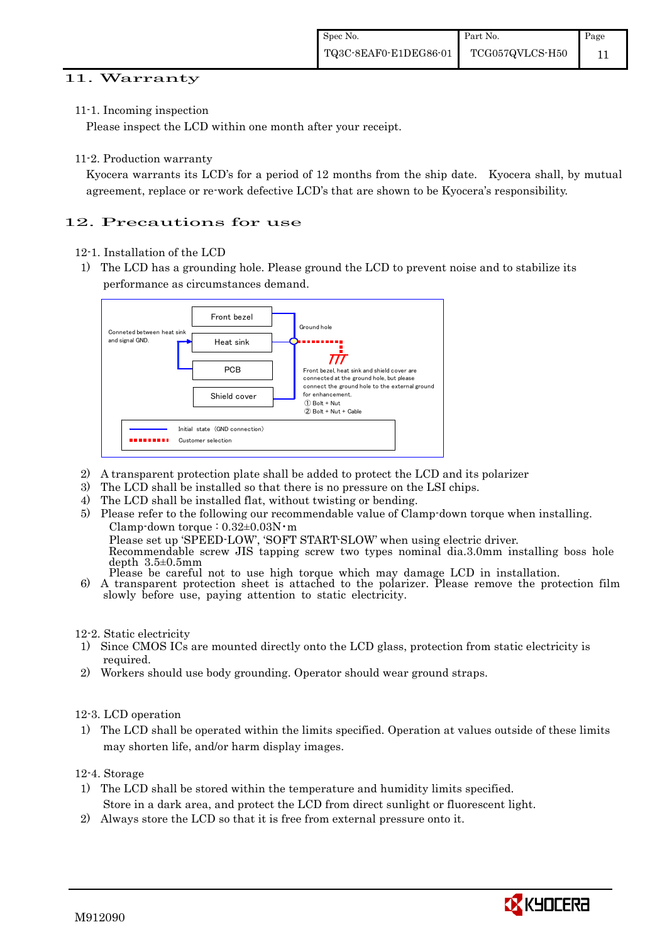#### 11. Warranty

11-1. Incoming inspection

Please inspect the LCD within one month after your receipt.

11-2. Production warranty

 Kyocera warrants its LCD's for a period of 12 months from the ship date. Kyocera shall, by mutual agreement, replace or re-work defective LCD's that are shown to be Kyocera's responsibility.

## 12. Precautions for use

- 12-1. Installation of the LCD
- 1) The LCD has a grounding hole. Please ground the LCD to prevent noise and to stabilize its performance as circumstances demand.



- 2) A transparent protection plate shall be added to protect the LCD and its polarizer
- 3) The LCD shall be installed so that there is no pressure on the LSI chips.
- 4) The LCD shall be installed flat, without twisting or bending.
- 5) Please refer to the following our recommendable value of Clamp-down torque when installing. Clamp-down torque : 0.32±0.03N・m Please set up 'SPEED-LOW', 'SOFT START-SLOW' when using electric driver.

Recommendable screw JIS tapping screw two types nominal dia.3.0mm installing boss hole depth 3.5±0.5mm

Please be careful not to use high torque which may damage LCD in installation.<br>6) A transparent protection sheet is attached to the polarizer. Please remove the protection film slowly before use, paying attention to static electricity.

12-2. Static electricity

- 1) Since CMOS ICs are mounted directly onto the LCD glass, protection from static electricity is required.
- 2) Workers should use body grounding. Operator should wear ground straps.

### 12-3. LCD operation

1) The LCD shall be operated within the limits specified. Operation at values outside of these limits may shorten life, and/or harm display images.

12-4. Storage

- 1) The LCD shall be stored within the temperature and humidity limits specified. Store in a dark area, and protect the LCD from direct sunlight or fluorescent light.
- 2) Always store the LCD so that it is free from external pressure onto it.

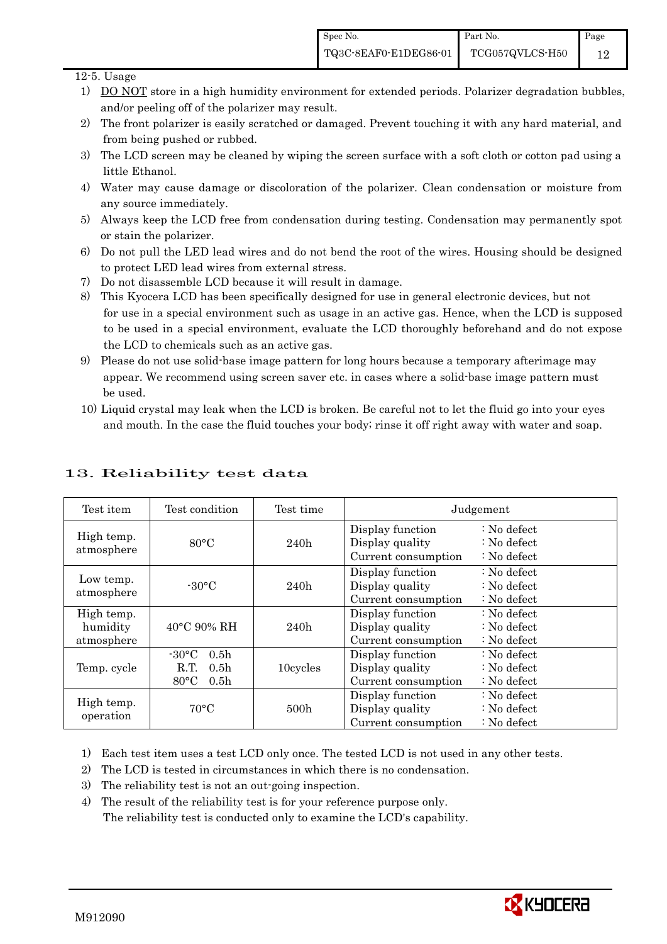Page 12

#### 12-5. Usage

- 1) DO NOT store in a high humidity environment for extended periods. Polarizer degradation bubbles, and/or peeling off of the polarizer may result.
- 2) The front polarizer is easily scratched or damaged. Prevent touching it with any hard material, and from being pushed or rubbed.
- 3) The LCD screen may be cleaned by wiping the screen surface with a soft cloth or cotton pad using a little Ethanol.
- 4) Water may cause damage or discoloration of the polarizer. Clean condensation or moisture from any source immediately.
- 5) Always keep the LCD free from condensation during testing. Condensation may permanently spot or stain the polarizer.
- 6) Do not pull the LED lead wires and do not bend the root of the wires. Housing should be designed to protect LED lead wires from external stress.
- 7) Do not disassemble LCD because it will result in damage.
- 8) This Kyocera LCD has been specifically designed for use in general electronic devices, but not for use in a special environment such as usage in an active gas. Hence, when the LCD is supposed to be used in a special environment, evaluate the LCD thoroughly beforehand and do not expose the LCD to chemicals such as an active gas.
- 9) Please do not use solid-base image pattern for long hours because a temporary afterimage may appear. We recommend using screen saver etc. in cases where a solid-base image pattern must be used.
- 10) Liquid crystal may leak when the LCD is broken. Be careful not to let the fluid go into your eyes and mouth. In the case the fluid touches your body; rinse it off right away with water and soap.

| Test item                            | Test condition                                                                                       | Test time |                                                            | Judgement                                                                  |
|--------------------------------------|------------------------------------------------------------------------------------------------------|-----------|------------------------------------------------------------|----------------------------------------------------------------------------|
| High temp.<br>atmosphere             | $80^{\circ}$ C                                                                                       | 240h      | Display function<br>Display quality<br>Current consumption | $\therefore$ No defect<br>$\therefore$ No defect<br>$\therefore$ No defect |
| Low temp.<br>atmosphere              | $-30^{\circ}$ C                                                                                      | 240h      | Display function<br>Display quality<br>Current consumption | $\therefore$ No defect<br>$\therefore$ No defect<br>$\therefore$ No defect |
| High temp.<br>humidity<br>atmosphere | $40^{\circ}$ C 90% RH                                                                                | 240h      | Display function<br>Display quality<br>Current consumption | : No defect<br>$\therefore$ No defect<br>$: No$ defect                     |
| Temp. cycle                          | $-30\degree C$<br>0.5 <sub>h</sub><br>R.T.<br>0.5 <sub>h</sub><br>$80^{\circ}$ C<br>0.5 <sub>h</sub> | 10cycles  | Display function<br>Display quality<br>Current consumption | $\therefore$ No defect<br>: No defect<br>$\therefore$ No defect            |
| High temp.<br>operation              | $70^{\circ}$ C                                                                                       | 500h      | Display function<br>Display quality<br>Current consumption | $\therefore$ No defect<br>$\therefore$ No defect<br>$: No$ defect          |

# 13. Reliability test data

1) Each test item uses a test LCD only once. The tested LCD is not used in any other tests.

- 2) The LCD is tested in circumstances in which there is no condensation.
- 3) The reliability test is not an out-going inspection.
- 4) The result of the reliability test is for your reference purpose only. The reliability test is conducted only to examine the LCD's capability.

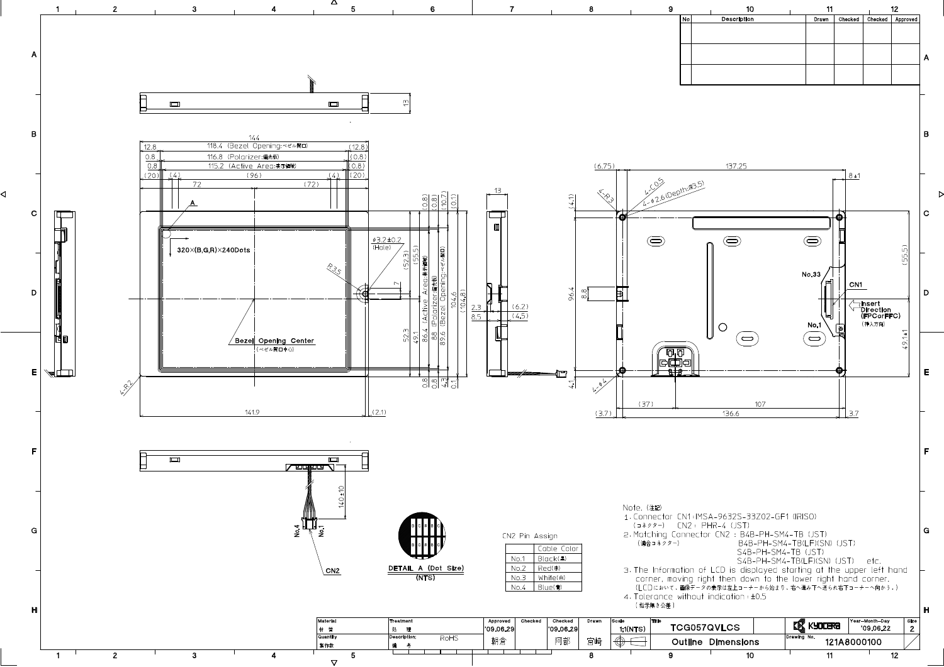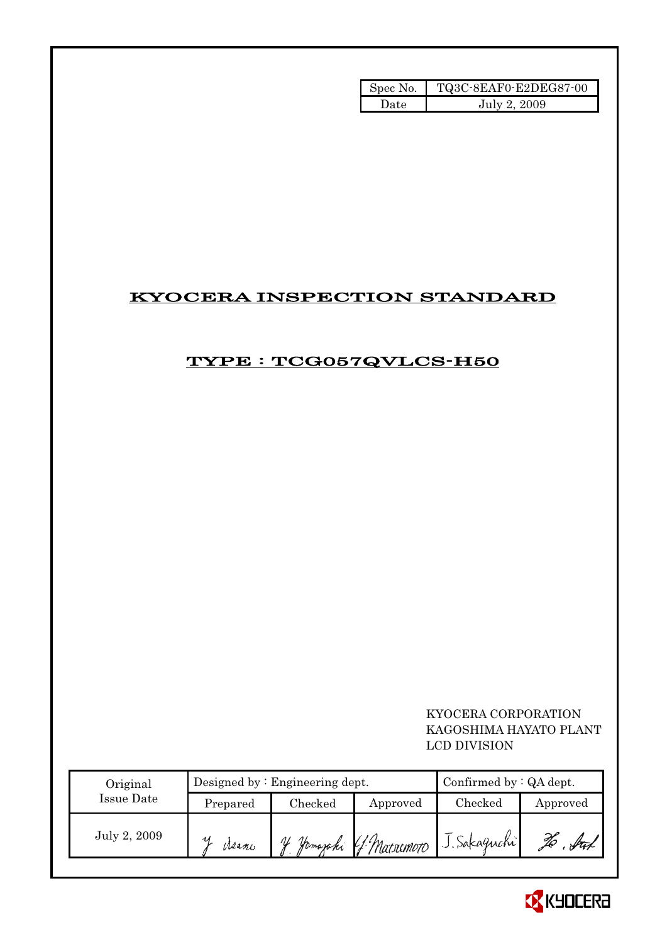| Spec No. | TQ3C-8EAF0-E2DEG87-00 |
|----------|-----------------------|
| Date     | July 2, 2009          |

# KYOCERA INSPECTION STANDARD

# TYPE : TCG057QVLCS-H50

### KYOCERA CORPORATION KAGOSHIMA HAYATO PLANT LCD DIVISION

| Original     |          | Designed by : Engineering dept. | Confirmed by $:QA$ dept. |              |          |
|--------------|----------|---------------------------------|--------------------------|--------------|----------|
| Issue Date   | Prepared | Checked                         | Approved                 | Checked      | Approved |
| July 2, 2009 | Weano    | Homajaki<br>$\mathcal{U}$       | 4 Marximo <del>r</del> o | J. Sakaguchi |          |

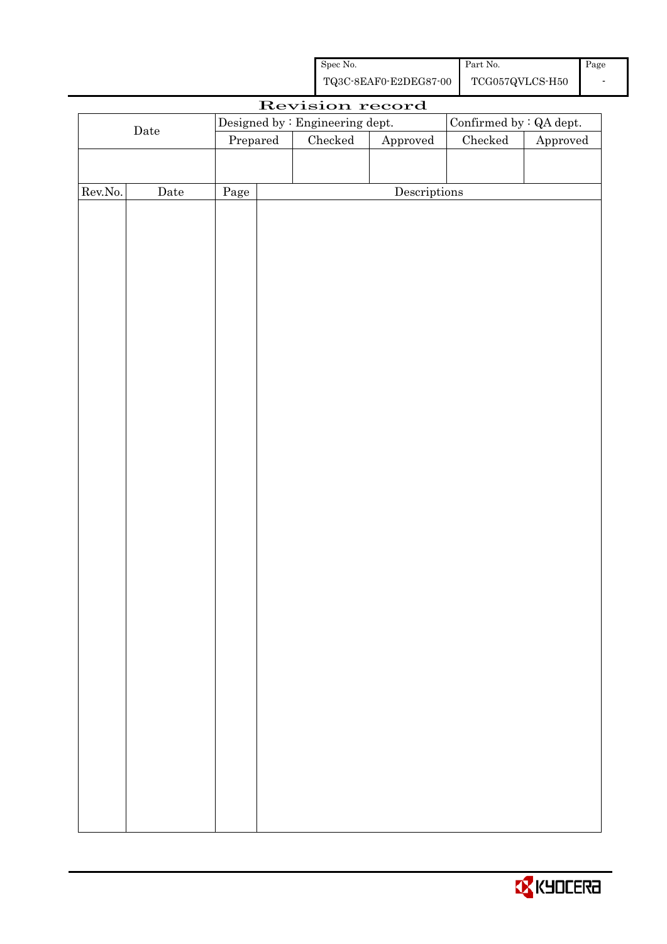| Spec No.              | Part No.        | Page |
|-----------------------|-----------------|------|
| TQ3C-8EAF0-E2DEG87-00 | TCG057QVLCS-H50 |      |

|         |             |          | Revision record                 |                        |                         |          |
|---------|-------------|----------|---------------------------------|------------------------|-------------------------|----------|
|         |             |          | Designed by : Engineering dept. |                        | Confirmed by : QA dept. |          |
|         | $\rm{Date}$ | Prepared | Checked                         | ${\Large\bf Approved}$ | $\rm Checked$           | Approved |
|         |             |          |                                 |                        |                         |          |
|         |             |          |                                 |                        |                         |          |
| Rev.No. | $\rm{Date}$ | Page     |                                 | Descriptions           |                         |          |
|         |             |          |                                 |                        |                         |          |
|         |             |          |                                 |                        |                         |          |
|         |             |          |                                 |                        |                         |          |
|         |             |          |                                 |                        |                         |          |
|         |             |          |                                 |                        |                         |          |
|         |             |          |                                 |                        |                         |          |
|         |             |          |                                 |                        |                         |          |
|         |             |          |                                 |                        |                         |          |
|         |             |          |                                 |                        |                         |          |
|         |             |          |                                 |                        |                         |          |
|         |             |          |                                 |                        |                         |          |
|         |             |          |                                 |                        |                         |          |
|         |             |          |                                 |                        |                         |          |
|         |             |          |                                 |                        |                         |          |
|         |             |          |                                 |                        |                         |          |
|         |             |          |                                 |                        |                         |          |
|         |             |          |                                 |                        |                         |          |
|         |             |          |                                 |                        |                         |          |
|         |             |          |                                 |                        |                         |          |
|         |             |          |                                 |                        |                         |          |
|         |             |          |                                 |                        |                         |          |
|         |             |          |                                 |                        |                         |          |
|         |             |          |                                 |                        |                         |          |
|         |             |          |                                 |                        |                         |          |
|         |             |          |                                 |                        |                         |          |
|         |             |          |                                 |                        |                         |          |
|         |             |          |                                 |                        |                         |          |
|         |             |          |                                 |                        |                         |          |
|         |             |          |                                 |                        |                         |          |
|         |             |          |                                 |                        |                         |          |
|         |             |          |                                 |                        |                         |          |
|         |             |          |                                 |                        |                         |          |
|         |             |          |                                 |                        |                         |          |
|         |             |          |                                 |                        |                         |          |
|         |             |          |                                 |                        |                         |          |

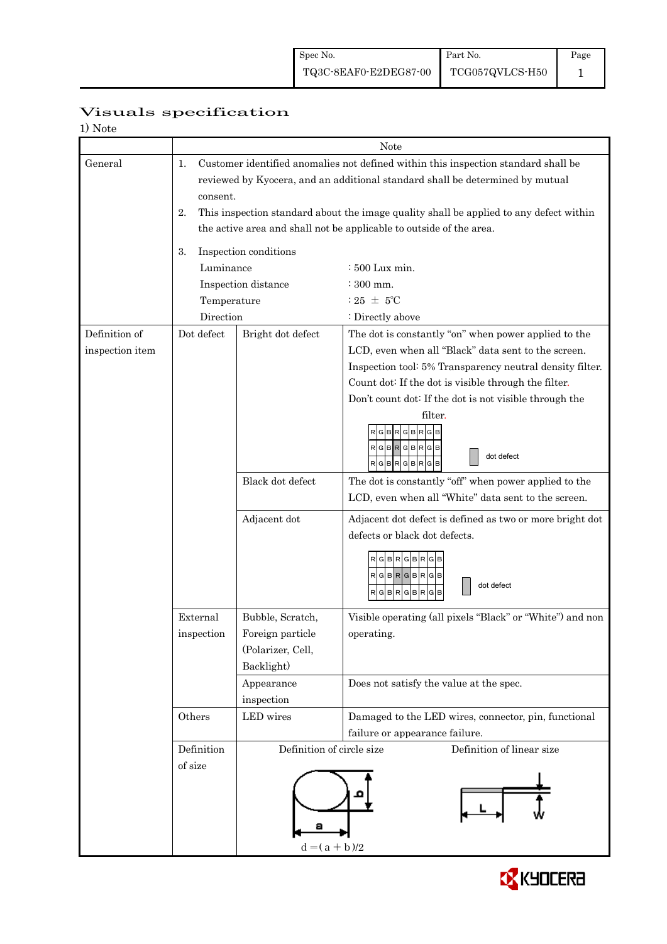|                          | Visuals specification |
|--------------------------|-----------------------|
| $1)$ $N_{\alpha+\alpha}$ |                       |

| 1) Note         |                 |                                                                                    |                                                                                        |  |  |  |
|-----------------|-----------------|------------------------------------------------------------------------------------|----------------------------------------------------------------------------------------|--|--|--|
|                 | Note            |                                                                                    |                                                                                        |  |  |  |
| General         | 1.              | Customer identified anomalies not defined within this inspection standard shall be |                                                                                        |  |  |  |
|                 |                 |                                                                                    | reviewed by Kyocera, and an additional standard shall be determined by mutual          |  |  |  |
|                 | consent.        |                                                                                    |                                                                                        |  |  |  |
|                 | 2.              |                                                                                    | This inspection standard about the image quality shall be applied to any defect within |  |  |  |
|                 |                 | the active area and shall not be applicable to outside of the area.                |                                                                                        |  |  |  |
|                 |                 |                                                                                    |                                                                                        |  |  |  |
|                 | 3.              | Inspection conditions                                                              |                                                                                        |  |  |  |
|                 | Luminance       |                                                                                    | : 500 Lux min.                                                                         |  |  |  |
|                 |                 | Inspection distance                                                                | $\div$ 300 mm.                                                                         |  |  |  |
|                 | Temperature     |                                                                                    | : 25 $\pm$ 5°C                                                                         |  |  |  |
|                 | Direction       |                                                                                    | : Directly above                                                                       |  |  |  |
| Definition of   | Dot defect      | Bright dot defect                                                                  | The dot is constantly "on" when power applied to the                                   |  |  |  |
| inspection item |                 |                                                                                    | LCD, even when all "Black" data sent to the screen.                                    |  |  |  |
|                 |                 |                                                                                    | Inspection tool: 5% Transparency neutral density filter.                               |  |  |  |
|                 |                 |                                                                                    | Count dot: If the dot is visible through the filter.                                   |  |  |  |
|                 |                 |                                                                                    | Don't count dot: If the dot is not visible through the                                 |  |  |  |
|                 |                 |                                                                                    | filter.                                                                                |  |  |  |
|                 |                 |                                                                                    | <b>GBRGB</b><br>R<br><b>GB</b>                                                         |  |  |  |
|                 |                 |                                                                                    | $RG$ B $RG$ B $RG$ B                                                                   |  |  |  |
|                 |                 |                                                                                    | dot defect<br>$RGBRGBRGB$                                                              |  |  |  |
|                 |                 | Black dot defect                                                                   | The dot is constantly "off" when power applied to the                                  |  |  |  |
|                 |                 |                                                                                    | LCD, even when all "White" data sent to the screen.                                    |  |  |  |
|                 |                 |                                                                                    |                                                                                        |  |  |  |
|                 |                 | Adjacent dot                                                                       | Adjacent dot defect is defined as two or more bright dot                               |  |  |  |
|                 |                 |                                                                                    | defects or black dot defects.                                                          |  |  |  |
|                 |                 |                                                                                    | RGBRGBRGB                                                                              |  |  |  |
|                 |                 |                                                                                    | $R$ G $B$ R $G$ B $R$ G $B$                                                            |  |  |  |
|                 |                 |                                                                                    | dot defect<br>RGBRGBRGB                                                                |  |  |  |
|                 |                 |                                                                                    |                                                                                        |  |  |  |
|                 | External        | Bubble, Scratch,                                                                   | Visible operating (all pixels "Black" or "White") and non                              |  |  |  |
|                 | inspection      | Foreign particle                                                                   | operating.                                                                             |  |  |  |
|                 |                 | (Polarizer, Cell,                                                                  |                                                                                        |  |  |  |
|                 |                 | Backlight)                                                                         |                                                                                        |  |  |  |
|                 |                 | Appearance                                                                         | Does not satisfy the value at the spec.                                                |  |  |  |
|                 |                 | inspection                                                                         |                                                                                        |  |  |  |
|                 | Others          | LED wires                                                                          | Damaged to the LED wires, connector, pin, functional                                   |  |  |  |
|                 |                 |                                                                                    | failure or appearance failure.                                                         |  |  |  |
|                 | Definition      | Definition of circle size                                                          | Definition of linear size                                                              |  |  |  |
|                 | of size         |                                                                                    |                                                                                        |  |  |  |
|                 |                 |                                                                                    |                                                                                        |  |  |  |
|                 |                 |                                                                                    |                                                                                        |  |  |  |
|                 |                 |                                                                                    |                                                                                        |  |  |  |
|                 |                 |                                                                                    |                                                                                        |  |  |  |
|                 | $d = (a + b)/2$ |                                                                                    |                                                                                        |  |  |  |
|                 |                 |                                                                                    |                                                                                        |  |  |  |